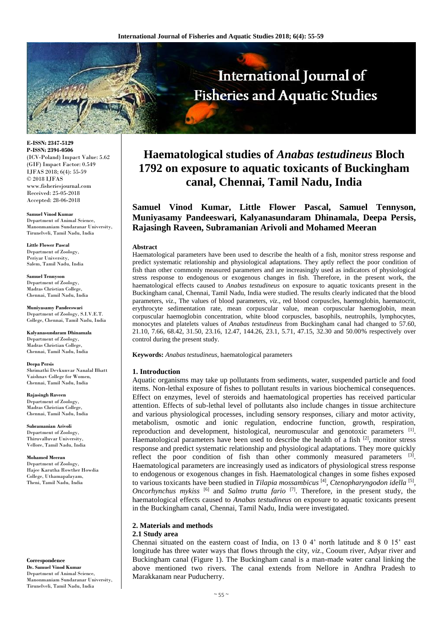

**E-ISSN: 2347-5129 P-ISSN: 2394-0506** (ICV-Poland) Impact Value: 5.62 (GIF) Impact Factor: 0.549 IJFAS 2018; 6(4): 55-59 © 2018 IJFAS www.fisheriesjournal.com Received: 25-05-2018 Accepted: 28-06-2018

**Samuel Vinod Kumar** Department of Animal Science, Manonmaniam Sundaranar University, Tirunelveli, Tamil Nadu, India

**Little Flower Pascal** Department of Zoology, Periyar University, Salem, Tamil Nadu, India

**Samuel Tennyson** Department of Zoology, Madras Christian College, Chennai, Tamil Nadu, India

**Muniyasamy Pandeeswari** Department of Zoology, S.I.V.E.T. College, Chennai, Tamil Nadu, India

**Kalyanasundaram Dhinamala** Department of Zoology, Madras Christian College, Chennai, Tamil Nadu, India

**Deepa Persis** Shrimathi Devkunvar Nanalal Bhatt Vaishnav College for Women, Chennai, Tamil Nadu, India

**Rajasingh Raveen** Department of Zoology, Madras Christian College, Chennai, Tamil Nadu, India

**Subramanian Arivoli** Department of Zoology, Thiruvalluvar University, Vellore, Tamil Nadu, India

**Mohamed Meeran** Department of Zoology, Hajee Karutha Rowther Howdia College, Uthamapalayam, Theni, Tamil Nadu, India

**Correspondence Dr. Samuel Vinod Kumar**  Department of Animal Science, Manonmaniam Sundaranar University, Tirunelveli, Tamil Nadu, India

# **Haematological studies of** *Anabas testudineus* **Bloch 1792 on exposure to aquatic toxicants of Buckingham canal, Chennai, Tamil Nadu, India**

**Samuel Vinod Kumar, Little Flower Pascal, Samuel Tennyson, Muniyasamy Pandeeswari, Kalyanasundaram Dhinamala, Deepa Persis, Rajasingh Raveen, Subramanian Arivoli and Mohamed Meeran**

#### **Abstract**

Haematological parameters have been used to describe the health of a fish, monitor stress response and predict systematic relationship and physiological adaptations. They aptly reflect the poor condition of fish than other commonly measured parameters and are increasingly used as indicators of physiological stress response to endogenous or exogenous changes in fish. Therefore, in the present work, the haematological effects caused to *Anabas testudineus* on exposure to aquatic toxicants present in the Buckingham canal, Chennai, Tamil Nadu, India were studied. The results clearly indicated that the blood parameters, *viz*., The values of blood parameters, *viz*., red blood corpuscles, haemoglobin, haematocrit, erythrocyte sedimentation rate, mean corpuscular value, mean corpuscular haemoglobin, mean corpuscular haemoglobin concentration, white blood corpuscles, basophils, neutrophils, lymphocytes, monocytes and platelets values of *Anabas testudineus* from Buckingham canal had changed to 57.60, 21.10, 7.66, 68.42, 31.50, 23.16, 12.47, 144.26, 23.1, 5.71, 47.15, 32.30 and 50.00% respectively over control during the present study.

**Keywords:** *Anabas testudineus*, haematological parameters

## **1. Introduction**

Aquatic organisms may take up pollutants from sediments, water, suspended particle and food items. Non-lethal exposure of fishes to pollutant results in various biochemical consequences. Effect on enzymes, level of steroids and haematological properties has received particular attention. Effects of sub-lethal level of pollutants also include changes in tissue architecture and various physiological processes, including sensory responses, ciliary and motor activity, metabolism, osmotic and ionic regulation, endocrine function, growth, respiration, reproduction and development, histological, neuromuscular and genotoxic parameters [1]. Haematological parameters have been used to describe the health of a fish  $[2]$ , monitor stress response and predict systematic relationship and physiological adaptations. They more quickly reflect the poor condition of fish than other commonly measured parameters [3]. Haematological parameters are increasingly used as indicators of physiological stress response to endogenous or exogenous changes in fish. Haematological changes in some fishes exposed to various toxicants have been studied in *Tilapia mossambicus* [4] , *Ctenopharyngodon idella* [5] , *Oncorhynchus mykiss* [6] and *Salmo trutta fario* [7]. Therefore, in the present study, the haematological effects caused to *Anabas testudineus* on exposure to aquatic toxicants present in the Buckingham canal, Chennai, Tamil Nadu, India were investigated.

# **2. Materials and methods**

## **2.1 Study area**

Chennai situated on the eastern coast of India, on 13 0 4' north latitude and 8 0 15' east longitude has three water ways that flows through the city, *viz*., Cooum river, Adyar river and Buckingham canal (Figure 1). The Buckingham canal is a man-made water canal linking the above mentioned two rivers. The canal extends from Nellore in Andhra Pradesh to Marakkanam near Puducherry.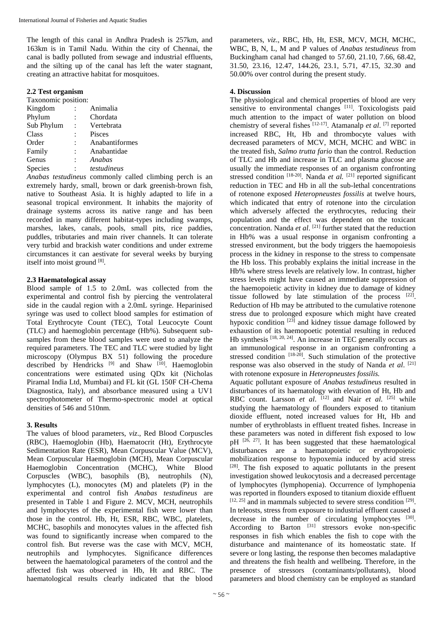The length of this canal in Andhra Pradesh is 257km, and 163km is in Tamil Nadu. Within the city of Chennai, the canal is badly polluted from sewage and industrial effluents, and the silting up of the canal has left the water stagnant, creating an attractive habitat for mosquitoes.

# **2.2 Test organism**

## Taxonomic position:

| Kingdom    |                | Animalia       |
|------------|----------------|----------------|
| Phylum     | $\ddot{\cdot}$ | Chordata       |
| Sub Phylum | $\ddot{\cdot}$ | Vertebrata     |
| Class      |                | Pisces         |
| Order      | $\ddot{\cdot}$ | Anabantiformes |
| Family     | ÷              | Anabantidae    |
| Genus      |                | Anabas         |
| Species    |                | testudineus    |
|            |                |                |

*Anabas testudineus* commonly called climbing perch is an extremely hardy, small, brown or dark greenish-brown fish, native to Southeast Asia. It is highly adapted to life in a seasonal tropical environment. It inhabits the majority of drainage systems across its native range and has been recorded in many different habitat-types including swamps, marshes, lakes, canals, pools, small pits, rice paddies, puddles, tributaries and main river channels. It can tolerate very turbid and brackish water conditions and under extreme circumstances it can aestivate for several weeks by burying itself into moist ground [8].

# **2.3 Haematological assay**

Blood sample of 1.5 to 2.0mL was collected from the experimental and control fish by piercing the ventrolateral side in the caudal region with a 2.0mL syringe. Heparinised syringe was used to collect blood samples for estimation of Total Erythrocyte Count (TEC), Total Leucocyte Count (TLC) and haemoglobin percentage (Hb%). Subsequent subsamples from these blood samples were used to analyze the required parameters. The TEC and TLC were studied by light microscopy (Olympus BX 51) following the procedure described by Hendricks [9] and Shaw [10]. Haemoglobin concentrations were estimated using QDx kit (Nicholas Piramal India Ltd, Mumbai) and FL kit (GL 150F CH-Chema Diagnostica, Italy), and absorbance measured using a UV1 spectrophotometer of Thermo-spectronic model at optical densities of 546 and 510nm.

# **3. Results**

The values of blood parameters, *viz*., Red Blood Corpuscles (RBC), Haemoglobin (Hb), Haematocrit (Ht), Erythrocyte Sedimentation Rate (ESR), Mean Corpuscular Value (MCV), Mean Corpuscular Haemoglobin (MCH), Mean Corpuscular Haemoglobin Concentration (MCHC), White Blood Corpuscles (WBC), basophils (B), neutrophils (N), lymphocytes (L), monocytes (M) and platelets (P) in the experimental and control fish *Anabas testudineus* are presented in Table 1 and Figure 2. MCV, MCH, neutrophils and lymphocytes of the experimental fish were lower than those in the control. Hb, Ht, ESR, RBC, WBC, platelets, MCHC, basophils and monocytes values in the affected fish was found to significantly increase when compared to the control fish. But reverse was the case with MCV, MCH, neutrophils and lymphocytes. Significance differences between the haematological parameters of the control and the affected fish was observed in Hb, Ht and RBC. The haematological results clearly indicated that the blood parameters, *viz*., RBC, Hb, Ht, ESR, MCV, MCH, MCHC, WBC, B, N, L, M and P values of *Anabas testudineus* from Buckingham canal had changed to 57.60, 21.10, 7.66, 68.42, 31.50, 23.16, 12.47, 144.26, 23.1, 5.71, 47.15, 32.30 and 50.00% over control during the present study.

# **4. Discussion**

The physiological and chemical properties of blood are very sensitive to environmental changes [11]. Toxicologists paid much attention to the impact of water pollution on blood chemistry of several fishes [12-17]. Atamanalp *et al*. [7] reported increased RBC, Ht, Hb and thrombocyte values with decreased parameters of MCV, MCH, MCHC and WBC in the treated fish, *Salmo trutta fario* than the control. Reduction of TLC and Hb and increase in TLC and plasma glucose are usually the immediate responses of an organism confronting stressed condition <sup>[18-20]</sup>. Nanda *et al.* <sup>[21]</sup> reported significant reduction in TEC and Hb in all the sub-lethal concentrations of rotenone exposed *Heteropneustes fossilis* at twelve hours, which indicated that entry of rotenone into the circulation which adversely affected the erythrocytes, reducing their population and the effect was dependent on the toxicant concentration. Nanda *et al*. [21] further stated that the reduction in Hb% was a usual response in organism confronting a stressed environment, but the body triggers the haemopoiesis process in the kidney in response to the stress to compensate the Hb loss. This probably explains the initial increase in the Hb% where stress levels are relatively low. In contrast, higher stress levels might have caused an immediate suppression of the haemopoietic activity in kidney due to damage of kidney tissue followed by late stimulation of the process [22]. Reduction of Hb may be attributed to the cumulative rotenone stress due to prolonged exposure which might have created hypoxic condition  $[23]$  and kidney tissue damage followed by exhaustion of its haemopoetic potential resulting in reduced Hb synthesis <sup>[18, 20, 24]</sup>. An increase in TEC generally occurs as an immunological response in an organism confronting a stressed condition  $[18-20]$ . Such stimulation of the protective response was also observed in the study of Nanda *et al*. [21] with rotenone exposure in *Heteropneustes fossilis.* 

Aquatic pollutant exposure of *Anabas testudineus* resulted in disturbances of its haematology with elevation of Ht, Hb and RBC count. Larsson *et al.* <sup>[12]</sup> and Nair *et al.* <sup>[25]</sup> while studying the haematology of flounders exposed to titanium dioxide effluent, noted increased values for Ht, Hb and number of erythroblasts in effluent treated fishes. Increase in these parameters was noted in different fish exposed to low  $pH$  [26, 27]. It has been suggested that these haematological disturbances are a haematopoietic or erythropoietic mobilization response to hypoxemia induced by acid stress  $[28]$ . The fish exposed to aquatic pollutants in the present investigation showed leukocytosis and a decreased percentage of lymphocytes (lymphopenia). Occurrence of lymphopenia was reported in flounders exposed to titanium dioxide effluent  $[12, 25]$  and in mammals subjected to severe stress condition  $[29]$ . In teleosts, stress from exposure to industrial effluent caused a decrease in the number of circulating lymphocytes [30]. According to Barton  $^{[31]}$  stressors evoke non-specific responses in fish which enables the fish to cope with the disturbance and maintenance of its homeostatic state. If severe or long lasting, the response then becomes maladaptive and threatens the fish health and wellbeing. Therefore, in the presence of stressors (contaminants/pollutants), blood parameters and blood chemistry can be employed as standard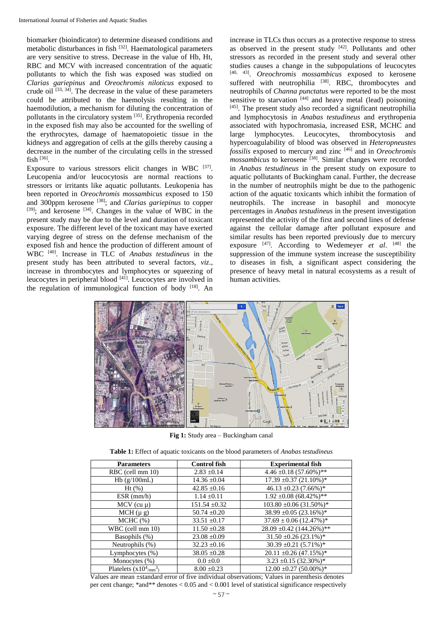biomarker (bioindicator) to determine diseased conditions and metabolic disturbances in fish [32]. Haematological parameters are very sensitive to stress. Decrease in the value of Hb, Ht, RBC and MCV with increased concentration of the aquatic pollutants to which the fish was exposed was studied on *Clarias gariepinus* and *Oreochromis niloticus* exposed to crude oil  $[33, 34]$ . The decrease in the value of these parameters could be attributed to the haemolysis resulting in the haemodilution, a mechanism for diluting the concentration of pollutants in the circulatory system <sup>[35]</sup>. Erythropenia recorded in the exposed fish may also be accounted for the swelling of the erythrocytes, damage of haematopoietic tissue in the kidneys and aggregation of cells at the gills thereby causing a decrease in the number of the circulating cells in the stressed fish [36] .

Exposure to various stressors elicit changes in WBC  $[37]$ . Leucopenia and/or leucocytosis are normal reactions to stressors or irritants like aquatic pollutants. Leukopenia has been reported in *Oreochromis mossambicus* exposed to 150 and 300ppm kerosene [38]; and *Clarias gariepinus* to copper  $[39]$ ; and kerosene  $[34]$ . Changes in the value of WBC in the present study may be due to the level and duration of toxicant exposure. The different level of the toxicant may have exerted varying degree of stress on the defense mechanism of the exposed fish and hence the production of different amount of WBC [40]. Increase in TLC of *Anabas testudineus* in the present study has been attributed to several factors, *viz*., increase in thrombocytes and lymphocytes or squeezing of leucocytes in peripheral blood  $[41]$ . Leucocytes are involved in the regulation of immunological function of body  $[18]$ . An

increase in TLCs thus occurs as a protective response to stress as observed in the present study  $[42]$ . Pollutants and other stressors as recorded in the present study and several other studies causes a change in the subpopulations of leucocytes [40, 43] . *Oreochromis mossambicus* exposed to kerosene suffered with neutrophilia  $[38]$ . RBC, thrombocytes and neutrophils of *Channa punctatus* were reported to be the most sensitive to starvation  $[44]$  and heavy metal (lead) poisoning  $[45]$ . The present study also recorded a significant neutrophilia and lymphocytosis in *Anabas testudineus* and erythropenia associated with hypochromasia, increased ESR, MCHC and large lymphocytes. Leucocytes, thrombocytosis and hypercoagulability of blood was observed in *Heteropneustes fossilis* exposed to mercury and zinc [46] and in *Oreochromis mossambicus* to kerosene <sup>[38]</sup>. Similar changes were recorded in *Anabas testudineus* in the present study on exposure to aquatic pollutants of Buckingham canal. Further, the decrease in the number of neutrophils might be due to the pathogenic action of the aquatic toxicants which inhibit the formation of neutrophils. The increase in basophil and monocyte percentages in *Anabas testudineus* in the present investigation represented the activity of the first and second lines of defense against the cellular damage after pollutant exposure and similar results has been reported previously due to mercury exposure [47]. According to Wedemeyer *et al*. [48] the suppression of the immune system increase the susceptibility to diseases in fish, a significant aspect considering the presence of heavy metal in natural ecosystems as a result of human activities.



**Fig 1:** Study area – Buckingham canal

**Table 1:** Effect of aquatic toxicants on the blood parameters of *Anabas testudineus*

| <b>Parameters</b>               | <b>Control fish</b> | <b>Experimental fish</b>      |
|---------------------------------|---------------------|-------------------------------|
| RBC (cell mm 10)                | $2.83 \pm 0.14$     | $4.46 \pm 0.18 (57.60\%)$ **  |
| Hb(g/100mL)                     | $14.36 \pm 0.04$    | $17.39 \pm 0.37 (21.10\%)*$   |
| $Ht$ (%)                        | $42.85 \pm 0.16$    | $46.13 \pm 0.23$ (7.66%)*     |
| $ESR$ (mm/h)                    | $1.14 \pm 0.11$     | $1.92 \pm 0.08 (68.42\%)$ **  |
| $MCV$ (cu $\mu$ )               | $151.54 \pm 0.32$   | $103.80 \pm 0.06 (31.50\%)*$  |
| $MCH(\mu g)$                    | $50.74 \pm 0.20$    | $38.99 \pm 0.05 (23.16\%)*$   |
| MCHC (%)                        | $33.51 \pm 0.17$    | $37.69 \pm 0.06$ (12.47%)*    |
| WBC (cell mm 10)                | $11.50 \pm 0.28$    | $28.09 \pm 0.42 (144.26\%)**$ |
| Basophils (%)                   | $23.08 \pm 0.09$    | $31.50 \pm 0.26 (23.1\%)*$    |
| Neutrophils (%)                 | $32.23 \pm 0.16$    | $30.39 \pm 0.21 (5.71\%)*$    |
| Lymphocytes (%)                 | $38.05 \pm 0.28$    | $20.11 \pm 0.26 (47.15\%)*$   |
| Monocytes $(\% )$               | $0.0 \pm 0.0$       | $3.23 \pm 0.15 (32.30\%)*$    |
| Platelets $(x10^4/\text{mm}^3)$ | $8.00 \pm 0.23$     | $12.00 \pm 0.27$ (50.00%)*    |

Values are mean ±standard error of five individual observations; Values in parenthesis denotes per cent change; \*and\*\* denotes < 0.05 and < 0.001 level of statistical significance respectively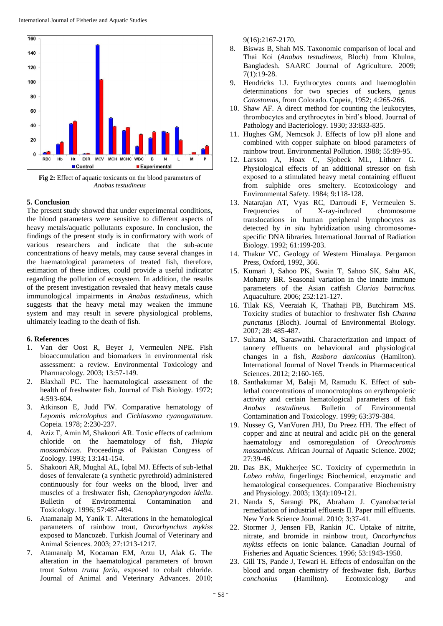

**Fig 2:** Effect of aquatic toxicants on the blood parameters of *Anabas testudineus*

## **5. Conclusion**

The present study showed that under experimental conditions, the blood parameters were sensitive to different aspects of heavy metals/aquatic pollutants exposure. In conclusion, the findings of the present study is in confirmatory with work of various researchers and indicate that the sub-acute concentrations of heavy metals, may cause several changes in the haematological parameters of treated fish, therefore, estimation of these indices, could provide a useful indicator regarding the pollution of ecosystem. In addition, the results of the present investigation revealed that heavy metals cause immunological impairments in *Anabas testudineus*, which suggests that the heavy metal may weaken the immune system and may result in severe physiological problems, ultimately leading to the death of fish.

## **6. References**

- 1. Van der Oost R, Beyer J, Vermeulen NPE. Fish bioaccumulation and biomarkers in environmental risk assessment: a review. Environmental Toxicology and Pharmacology. 2003; 13:57-149.
- 2. Blaxhall PC. The haematological assessment of the health of freshwater fish. Journal of Fish Biology. 1972; 4:593-604.
- 3. Atkinson E, Judd FW. Comparative hematology of *Lepomis microlophus* and *Cichlasoma cyanoguttatum*. Copeia*.* 1978; 2:230-237.
- 4. Aziz F, Amin M, Shakoori AR. Toxic effects of cadmium chloride on the haematology of fish, *Tilapia mossambicus*. Proceedings of Pakistan Congress of Zoology. 1993; 13:141-154.
- 5. Shakoori AR, Mughal AL, Iqbal MJ. Effects of sub-lethal doses of fenvalerate (a synthetic pyrethroid) administered continuously for four weeks on the blood, liver and muscles of a freshwater fish, *Ctenopharyngodon idella*. Bulletin of Environmental Contamination and Toxicology. 1996; 57:487-494.
- 6. Atamanalp M, Yanik T. Alterations in the hematological parameters of rainbow trout, *Oncorhynchus mykiss* exposed to Mancozeb. Turkish Journal of Veterinary and Animal Sciences. 2003; 27:1213-1217.
- 7. Atamanalp M, Kocaman EM, Arzu U, Alak G. The alteration in the haematological parameters of brown trout *Salmo trutta fario*, exposed to cobalt chloride. Journal of Animal and Veterinary Advances. 2010;

9(16):2167-2170.

- 8. Biswas B, Shah MS. Taxonomic comparison of local and Thai Koi (*Anabas testudineus*, Bloch) from Khulna, Bangladesh. SAARC Journal of Agriculture. 2009; 7(1):19-28.
- Hendricks LJ. Erythrocytes counts and haemoglobin determinations for two species of suckers, genus *Catostomas*, from Colorado. Copeia, 1952; 4:265-266.
- 10. Shaw AF. A direct method for counting the leukocytes, thrombocytes and erythrocytes in bird's blood. Journal of Pathology and Bacteriology. 1930; 33:833-835.
- 11. Hughes GM, Nemcsok J. Effects of low pH alone and combined with copper sulphate on blood parameters of rainbow trout. Environmental Pollution. 1988; 55:89-95.
- 12. Larsson A, Hoax C, Sjobeck ML, Lithner G. Physiological effects of an additional stressor on fish exposed to a stimulated heavy metal containing effluent from sulphide ores smeltery. Ecotoxicology and Environmental Safety. 1984; 9:118-128.
- 13. Natarajan AT, Vyas RC, Darroudi F, Vermeulen S. Frequencies of X-ray-induced chromosome translocations in human peripheral lymphocytes as detected by *in situ* hybridization using chromosomespecific DNA libraries. International Journal of Radiation Biology. 1992; 61:199-203.
- 14. Thakur VC. Geology of Western Himalaya. Pergamon Press, Oxford, 1992, 366.
- 15. Kumari J, Sahoo PK, Swain T, Sahoo SK, Sahu AK, Mohanty BR. Seasonal variation in the innate immune parameters of the Asian catfish *Clarias batrachus.*  Aquaculture. 2006; 252:121-127.
- 16. Tilak KS, Veeraiah K, Thathaji PB, Butchiram MS. Toxicity studies of butachlor to freshwater fish *Channa punctatus* (Bloch). Journal of Environmental Biology. 2007; 28: 485-487.
- 17. Sultana M, Saraswathi. Characterization and impact of tannery effluents on behavioural and physiological changes in a fish, *Rasbora daniconius* (Hamilton). International Journal of Novel Trends in Pharmaceutical Sciences. 2012; 2:160-165.
- 18. Santhakumar M, Balaji M, Ramudu K. Effect of sublethal concentrations of monocrotophos on erythropoietic activity and certain hematological parameters of fish *Anabas testudineus.* Bulletin of Environmental Contamination and Toxicology. 1999; 63:379-384.
- 19. Nussey G, VanVuren JHJ, Du Preez HH. The effect of copper and zinc at neutral and acidic pH on the general haematology and osmoregulation of *Oreochromis mossambicus.* African Journal of Aquatic Science. 2002; 27:39-46.
- 20. Das BK, Mukherjee SC. Toxicity of cypermethrin in *Labeo rohita,* fingerlings: Biochemical, enzymatic and hematological consequences. Comparative Biochemistry and Physiology. 2003; 13(4):109-121.
- 21. Nanda S, Sarangi PK, Abraham J. Cyanobacterial remediation of industrial effluents II. Paper mill effluents. New York Science Journal. 2010; 3:37-41.
- 22. Stormer J, Jensen FB, Rankin JC. Uptake of nitrite, nitrate, and bromide in rainbow trout, *Oncorhynchus mykiss* effects on ionic balance. Canadian Journal of Fisheries and Aquatic Sciences. 1996; 53:1943-1950.
- 23. Gill TS, Pande J, Tewari H. Effects of endosulfan on the blood and organ chemistry of freshwater fish, *Barbus conchonius* (Hamilton). Ecotoxicology and